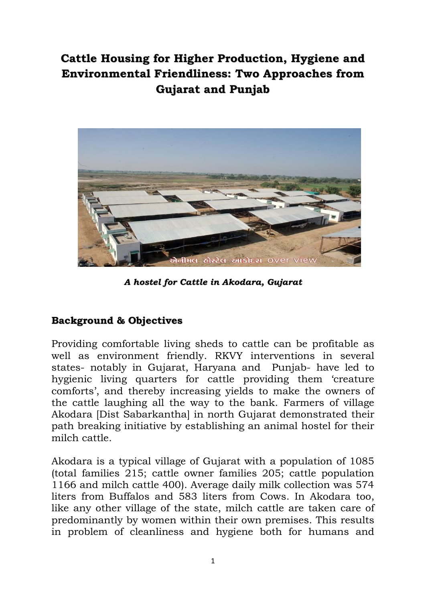## **Cattle Housing for Higher Production, Hygiene and Environmental Friendliness: Two Approaches from Gujarat and Punjab**



*A hostel for Cattle in Akodara, Gujarat*

## **Background & Objectives**

Providing comfortable living sheds to cattle can be profitable as well as environment friendly. RKVY interventions in several states- notably in Gujarat, Haryana and Punjab- have led to hygienic living quarters for cattle providing them "creature comforts', and thereby increasing yields to make the owners of the cattle laughing all the way to the bank. Farmers of village Akodara [Dist Sabarkantha] in north Gujarat demonstrated their path breaking initiative by establishing an animal hostel for their milch cattle.

Akodara is a typical village of Gujarat with a population of 1085 (total families 215; cattle owner families 205; cattle population 1166 and milch cattle 400). Average daily milk collection was 574 liters from Buffalos and 583 liters from Cows. In Akodara too, like any other village of the state, milch cattle are taken care of predominantly by women within their own premises. This results in problem of cleanliness and hygiene both for humans and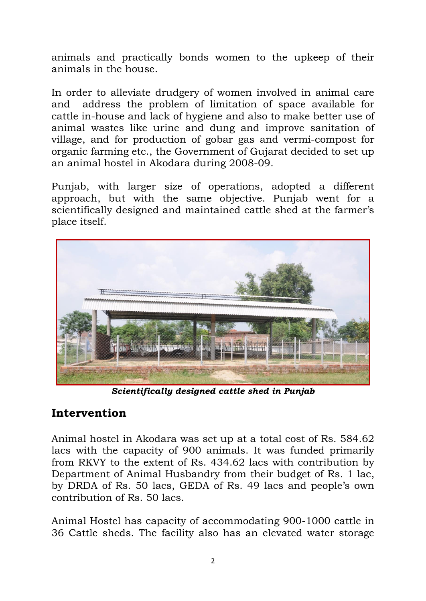animals and practically bonds women to the upkeep of their animals in the house.

In order to alleviate drudgery of women involved in animal care and address the problem of limitation of space available for cattle in-house and lack of hygiene and also to make better use of animal wastes like urine and dung and improve sanitation of village, and for production of gobar gas and vermi-compost for organic farming etc., the Government of Gujarat decided to set up an animal hostel in Akodara during 2008-09.

Punjab, with larger size of operations, adopted a different approach, but with the same objective. Punjab went for a scientifically designed and maintained cattle shed at the farmer's place itself.



*Scientifically designed cattle shed in Punjab*

## **Intervention**

Animal hostel in Akodara was set up at a total cost of Rs. 584.62 lacs with the capacity of 900 animals. It was funded primarily from RKVY to the extent of Rs. 434.62 lacs with contribution by Department of Animal Husbandry from their budget of Rs. 1 lac, by DRDA of Rs. 50 lacs, GEDA of Rs. 49 lacs and people"s own contribution of Rs. 50 lacs.

Animal Hostel has capacity of accommodating 900-1000 cattle in 36 Cattle sheds. The facility also has an elevated water storage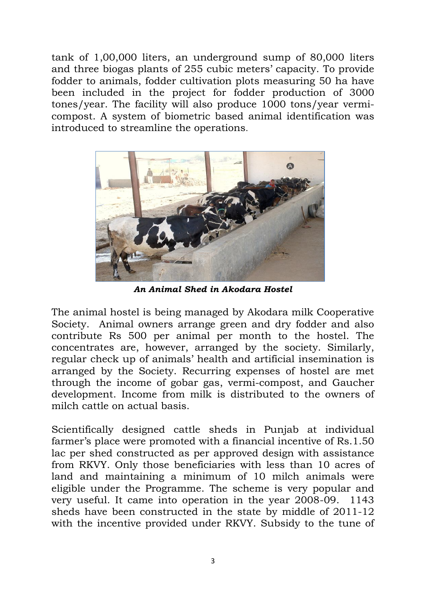tank of 1,00,000 liters, an underground sump of 80,000 liters and three biogas plants of 255 cubic meters' capacity. To provide fodder to animals, fodder cultivation plots measuring 50 ha have been included in the project for fodder production of 3000 tones/year. The facility will also produce 1000 tons/year vermicompost. A system of biometric based animal identification was introduced to streamline the operations.



*An Animal Shed in Akodara Hostel*

The animal hostel is being managed by Akodara milk Cooperative Society. Animal owners arrange green and dry fodder and also contribute Rs 500 per animal per month to the hostel. The concentrates are, however, arranged by the society. Similarly, regular check up of animals' health and artificial insemination is arranged by the Society. Recurring expenses of hostel are met through the income of gobar gas, vermi-compost, and Gaucher development. Income from milk is distributed to the owners of milch cattle on actual basis.

Scientifically designed cattle sheds in Punjab at individual farmer's place were promoted with a financial incentive of Rs.1.50 lac per shed constructed as per approved design with assistance from RKVY. Only those beneficiaries with less than 10 acres of land and maintaining a minimum of 10 milch animals were eligible under the Programme. The scheme is very popular and very useful. It came into operation in the year 2008-09. 1143 sheds have been constructed in the state by middle of 2011-12 with the incentive provided under RKVY. Subsidy to the tune of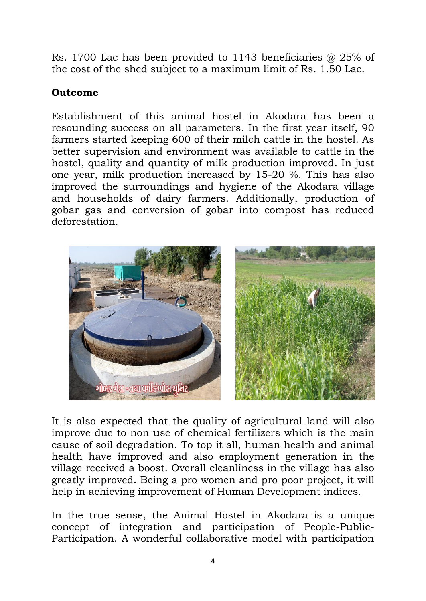Rs. 1700 Lac has been provided to 1143 beneficiaries @ 25% of the cost of the shed subject to a maximum limit of Rs. 1.50 Lac.

## **Outcome**

Establishment of this animal hostel in Akodara has been a resounding success on all parameters. In the first year itself, 90 farmers started keeping 600 of their milch cattle in the hostel. As better supervision and environment was available to cattle in the hostel, quality and quantity of milk production improved. In just one year, milk production increased by 15-20 %. This has also improved the surroundings and hygiene of the Akodara village and households of dairy farmers. Additionally, production of gobar gas and conversion of gobar into compost has reduced deforestation.



It is also expected that the quality of agricultural land will also improve due to non use of chemical fertilizers which is the main cause of soil degradation. To top it all, human health and animal health have improved and also employment generation in the village received a boost. Overall cleanliness in the village has also greatly improved. Being a pro women and pro poor project, it will help in achieving improvement of Human Development indices.

In the true sense, the Animal Hostel in Akodara is a unique concept of integration and participation of People-Public-Participation. A wonderful collaborative model with participation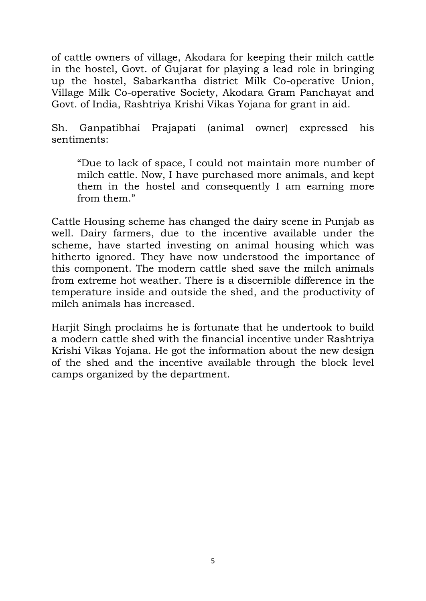of cattle owners of village, Akodara for keeping their milch cattle in the hostel, Govt. of Gujarat for playing a lead role in bringing up the hostel, Sabarkantha district Milk Co-operative Union, Village Milk Co-operative Society, Akodara Gram Panchayat and Govt. of India, Rashtriya Krishi Vikas Yojana for grant in aid.

Sh. Ganpatibhai Prajapati (animal owner) expressed his sentiments:

"Due to lack of space, I could not maintain more number of milch cattle. Now, I have purchased more animals, and kept them in the hostel and consequently I am earning more from them."

Cattle Housing scheme has changed the dairy scene in Punjab as well. Dairy farmers, due to the incentive available under the scheme, have started investing on animal housing which was hitherto ignored. They have now understood the importance of this component. The modern cattle shed save the milch animals from extreme hot weather. There is a discernible difference in the temperature inside and outside the shed, and the productivity of milch animals has increased.

Harjit Singh proclaims he is fortunate that he undertook to build a modern cattle shed with the financial incentive under Rashtriya Krishi Vikas Yojana. He got the information about the new design of the shed and the incentive available through the block level camps organized by the department.